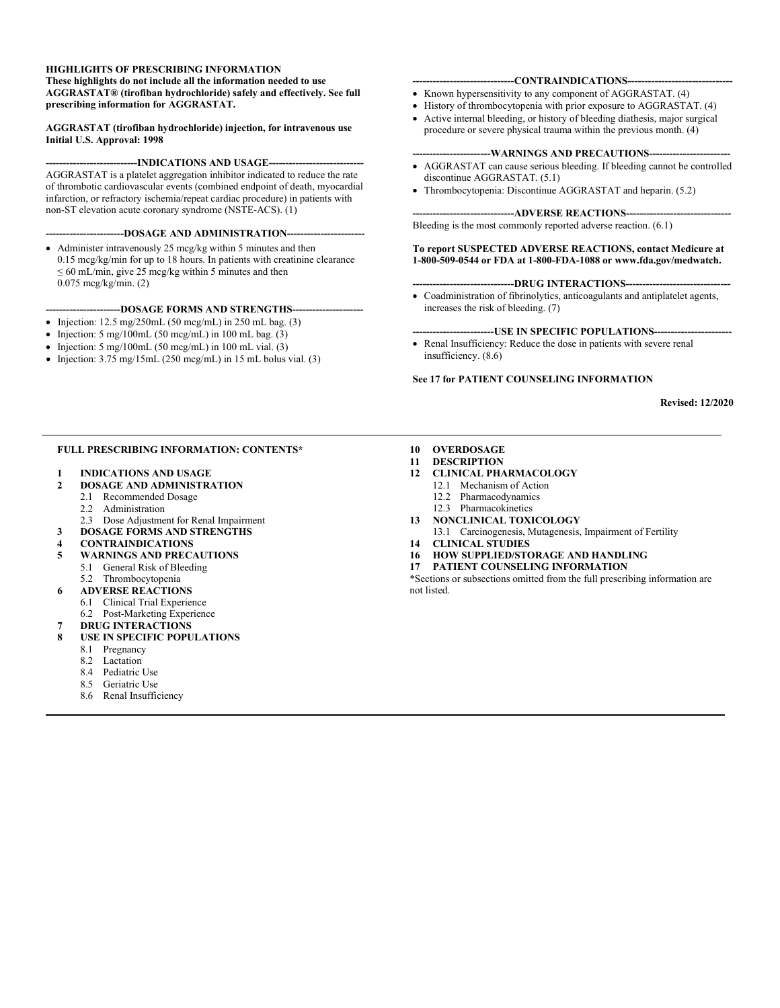#### **HIGHLIGHTS OF PRESCRIBING INFORMATION**

**These highlights do not include all the information needed to use AGGRASTAT® (tirofiban hydrochloride) safely and effectively. See full prescribing information for AGGRASTAT.**

**AGGRASTAT (tirofiban hydrochloride) injection, for intravenous use Initial U.S. Approval: 1998**

#### ---INDICATIONS AND USAGE---

AGGRASTAT is a platelet aggregation inhibitor indicated to reduce the rate of thrombotic cardiovascular events (combined endpoint of death, myocardial infarction, or refractory ischemia/repeat cardiac procedure) in patients with non-ST elevation acute coronary syndrome (NSTE-ACS). (1)

#### **-----------------------DOSAGE AND ADMINISTRATION-----------------------**

• Administer intravenously 25 mcg/kg within 5 minutes and then 0.15 mcg/kg/min for up to 18 hours. In patients with creatinine clearance  $\leq 60$  mL/min, give 25 mcg/kg within 5 minutes and then 0.075 mcg/kg/min. (2)

#### ---DOSAGE FORMS AND STRENGTHS--

- Injection: 12.5 mg/250mL (50 mcg/mL) in 250 mL bag. (3)
- Injection: 5 mg/100mL (50 mcg/mL) in 100 mL bag.  $(3)$
- Injection:  $5 \text{ mg}/100 \text{ mL}$  (50 mcg/mL) in 100 mL vial. (3)
- Injection:  $3.75 \text{ mg}/15 \text{mL}$  (250 mcg/mL) in 15 mL bolus vial. (3)

#### -CONTRAINDICATIONS-

- Known hypersensitivity to any component of AGGRASTAT. (4)
- History of thrombocytopenia with prior exposure to AGGRASTAT. (4)
- Active internal bleeding, or history of bleeding diathesis, major surgical procedure or severe physical trauma within the previous month. (4)

#### ---WARNINGS AND PRECAUTIONS----

- AGGRASTAT can cause serious bleeding. If bleeding cannot be controlled discontinue AGGRASTAT. (5.1)
- Thrombocytopenia: Discontinue AGGRASTAT and heparin. (5.2)

#### ----ADVERSE REACTIONS----

Bleeding is the most commonly reported adverse reaction. (6.1)

#### **To report SUSPECTED ADVERSE REACTIONS, contact Medicure at 1-800-509-0544 or FDA at 1-800-FDA-1088 o[r www.fda.gov/medwatch.](http://www.fda.gov/medwatch)**

#### ---DRUG INTERACTIONS---

• Coadministration of fibrinolytics, anticoagulants and antiplatelet agents, increases the risk of bleeding. (7)

#### **------------------------USE IN SPECIFIC POPULATIONS-----------------------**

• Renal Insufficiency: Reduce the dose in patients with severe renal insufficiency. (8.6)

#### **See 17 for PATIENT COUNSELING INFORMATION**

#### **Revised: 12/2020**

#### **FULL PRESCRIBING INFORMATION: CONTENTS\***

**1 INDICATIONS AND USAGE**

#### **2 DOSAGE AND ADMINISTRATION**

- 2.1 Recommended Dosage
	- 2.2 Administration
- 2.3 Dose Adjustment for Renal Impairment
- **3 DOSAGE FORMS AND STRENGTHS**

#### **4 CONTRAINDICATIONS**

- **5 WARNINGS AND PRECAUTIONS**
	- 5.1 General Risk of Bleeding<br>5.2 Thrombocytonenia
	- Thrombocytopenia

#### **6 ADVERSE REACTIONS**

- 6.1 Clinical Trial Experience
- 6.2 Post-Marketing Experience
- **7 DRUG INTERACTIONS**
- **8 USE IN SPECIFIC POPULATIONS**
	- 8.1 Pregnancy
	- 8.2 Lactation
	- 8.4 Pediatric Use
	- 8.5 Geriatric Use
	- 8.6 Renal Insufficiency
- **10 OVERDOSAGE**
- **11 DESCRIPTION**
- **12 CLINICAL PHARMACOLOGY**
	- 12.1 Mechanism of Action
	- 12.2 Pharmacodynamics
	- 12.3 Pharmacokinetics
- **13 NONCLINICAL TOXICOLOGY**
- 13.1 Carcinogenesis, Mutagenesis, Impairment of Fertility **14 CLINICAL STUDIES**
- **16 HOW SUPPLIED/STORAGE AND HANDLING**
- **17 PATIENT COUNSELING INFORMATION**

\*Sections or subsections omitted from the full prescribing information are not listed.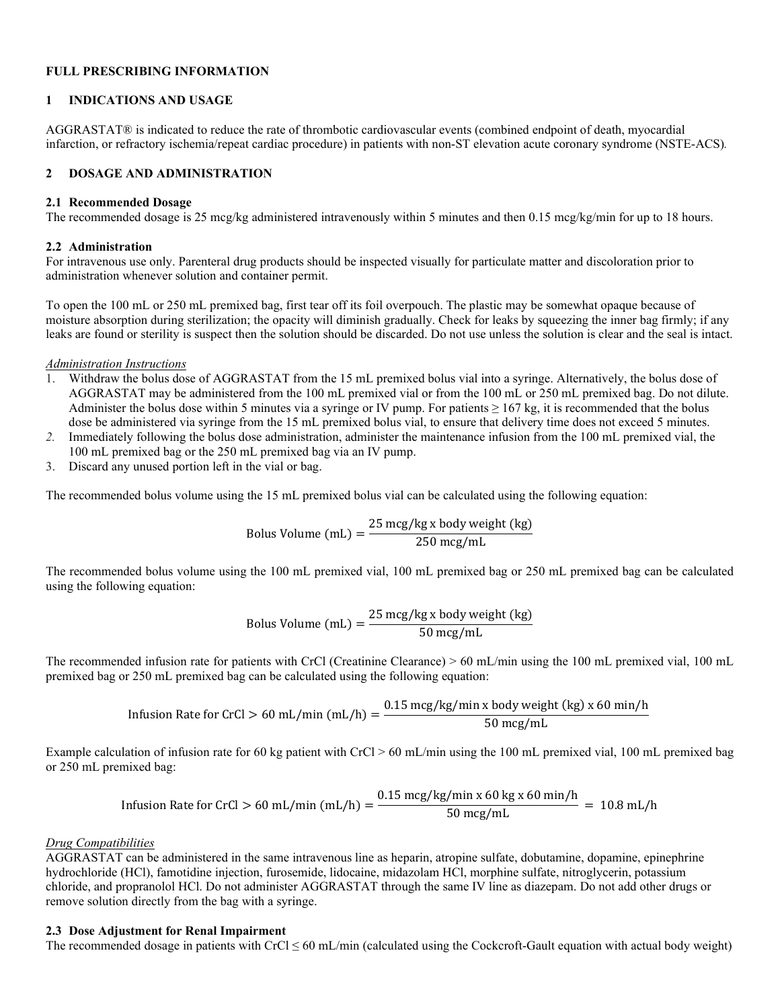#### **FULL PRESCRIBING INFORMATION**

### **1 INDICATIONS AND USAGE**

AGGRASTAT® is indicated to reduce the rate of thrombotic cardiovascular events (combined endpoint of death, myocardial infarction, or refractory ischemia/repeat cardiac procedure) in patients with non-ST elevation acute coronary syndrome (NSTE-ACS)*.*

## **2 DOSAGE AND ADMINISTRATION**

### **2.1 Recommended Dosage**

The recommended dosage is 25 mcg/kg administered intravenously within 5 minutes and then 0.15 mcg/kg/min for up to 18 hours.

### **2.2 Administration**

For intravenous use only. Parenteral drug products should be inspected visually for particulate matter and discoloration prior to administration whenever solution and container permit.

To open the 100 mL or 250 mL premixed bag, first tear off its foil overpouch. The plastic may be somewhat opaque because of moisture absorption during sterilization; the opacity will diminish gradually. Check for leaks by squeezing the inner bag firmly; if any leaks are found or sterility is suspect then the solution should be discarded. Do not use unless the solution is clear and the seal is intact.

### *Administration Instructions*

- 1. Withdraw the bolus dose of AGGRASTAT from the 15 mL premixed bolus vial into a syringe. Alternatively, the bolus dose of AGGRASTAT may be administered from the 100 mL premixed vial or from the 100 mL or 250 mL premixed bag. Do not dilute. Administer the bolus dose within 5 minutes via a syringe or IV pump. For patients  $\geq 167$  kg, it is recommended that the bolus dose be administered via syringe from the 15 mL premixed bolus vial, to ensure that delivery time does not exceed 5 minutes.
- *2.* Immediately following the bolus dose administration, administer the maintenance infusion from the 100 mL premixed vial, the 100 mL premixed bag or the 250 mL premixed bag via an IV pump.
- 3. Discard any unused portion left in the vial or bag.

The recommended bolus volume using the 15 mL premixed bolus vial can be calculated using the following equation:

Bolus Volume (mL) =  $\frac{25 \text{ mcg/kg} \times \text{body weight (kg)}}{250 \text{ mg/mL}}$ 

The recommended bolus volume using the 100 mL premixed vial, 100 mL premixed bag or 250 mL premixed bag can be calculated using the following equation:

Bolus Volume (mL) = 
$$
\frac{25 \text{ mcg/kg x body weight (kg)}}{50 \text{ mcg/mL}}
$$

The recommended infusion rate for patients with CrCl (Creatinine Clearance) > 60 mL/min using the 100 mL premixed vial, 100 mL premixed bag or 250 mL premixed bag can be calculated using the following equation:

\nInfusion Rate for CrCl > 60 mL/min (mL/h) = \n
$$
\frac{0.15 \, \text{mcg/kg/min} \times \text{body weight (kg)} \times 60 \, \text{min/h}}{50 \, \text{mcg/mL}}
$$
\n

Example calculation of infusion rate for 60 kg patient with CrCl > 60 mL/min using the 100 mL premixed vial, 100 mL premixed bag or 250 mL premixed bag:

\n Infusion Rate for CrCl > 60 mL/min (mL/h) = \n 
$$
\frac{0.15 \, \text{mcg/kg/min} \times 60 \, \text{kg} \times 60 \, \text{min/h}}{50 \, \text{mcg/mL}} = 10.8 \, \text{mL/h}
$$
\n

## *Drug Compatibilities*

AGGRASTAT can be administered in the same intravenous line as heparin, atropine sulfate, dobutamine, dopamine, epinephrine hydrochloride (HCl), famotidine injection, furosemide, lidocaine, midazolam HCl, morphine sulfate, nitroglycerin, potassium chloride, and propranolol HCl. Do not administer AGGRASTAT through the same IV line as diazepam. Do not add other drugs or remove solution directly from the bag with a syringe.

#### **2.3 Dose Adjustment for Renal Impairment**

The recommended dosage in patients with CrCl  $\leq 60$  mL/min (calculated using the Cockcroft-Gault equation with actual body weight)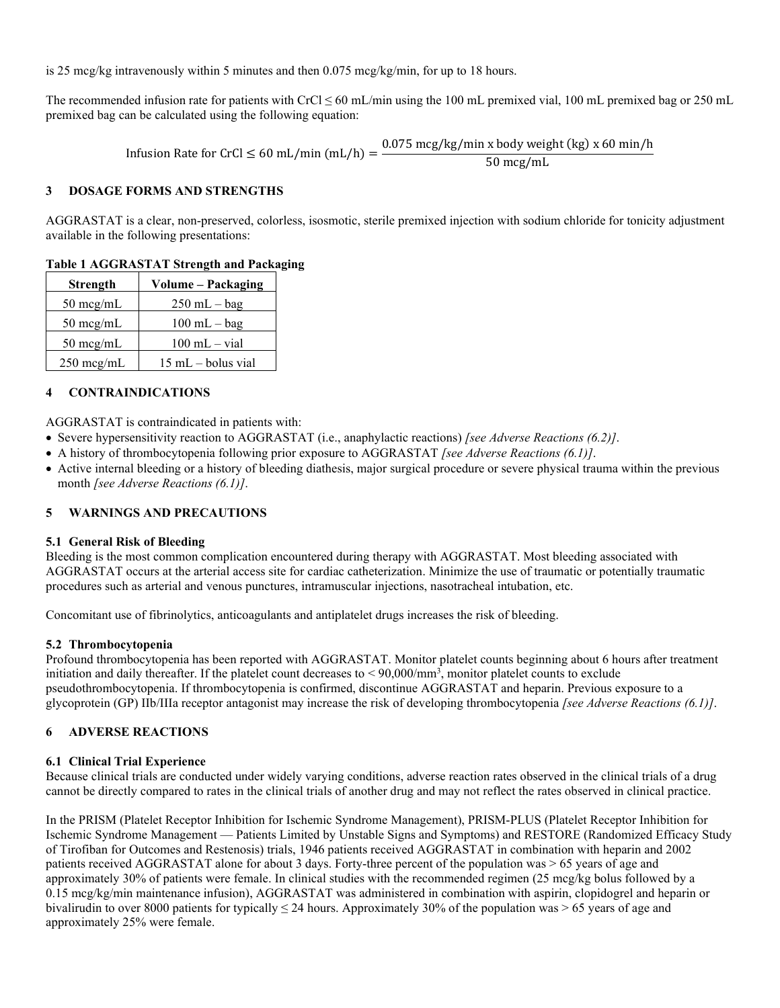is 25 mcg/kg intravenously within 5 minutes and then 0.075 mcg/kg/min, for up to 18 hours.

The recommended infusion rate for patients with CrCl  $\leq 60$  mL/min using the 100 mL premixed vial, 100 mL premixed bag or 250 mL premixed bag can be calculated using the following equation:

Infusion Rate for CrCl  $\leq 60$  mL/min (mL/h) =  $\frac{0.075 \text{ mcg/kg/min x body weight (kg) x 60 min/h}}{50 \text{ mcg/mL}}$ 

## **3 DOSAGE FORMS AND STRENGTHS**

AGGRASTAT is a clear, non-preserved, colorless, isosmotic, sterile premixed injection with sodium chloride for tonicity adjustment available in the following presentations:

## **Table 1 AGGRASTAT Strength and Packaging**

| <b>Strength</b>     | Volume - Packaging                  |
|---------------------|-------------------------------------|
| $50 \text{~mg/mL}$  | $250$ mL $-$ bag                    |
| $50 \text{~mg/mL}$  | $100$ mL $-$ bag                    |
| $50 \text{~mg/mL}$  | $100$ mL $-$ vial                   |
| $250 \text{~mg/mL}$ | $15 \text{ mL} - \text{bolus vial}$ |

# **4 CONTRAINDICATIONS**

AGGRASTAT is contraindicated in patients with:

- Severe hypersensitivity reaction to AGGRASTAT (i.e., anaphylactic reactions) *[see Adverse Reactions (6.2)]*.
- A history of thrombocytopenia following prior exposure to AGGRASTAT *[see Adverse Reactions (6.1)]*.
- Active internal bleeding or a history of bleeding diathesis, major surgical procedure or severe physical trauma within the previous month *[see Adverse Reactions (6.1)]*.

## **5 WARNINGS AND PRECAUTIONS**

## **5.1 General Risk of Bleeding**

Bleeding is the most common complication encountered during therapy with AGGRASTAT. Most bleeding associated with AGGRASTAT occurs at the arterial access site for cardiac catheterization. Minimize the use of traumatic or potentially traumatic procedures such as arterial and venous punctures, intramuscular injections, nasotracheal intubation, etc.

Concomitant use of fibrinolytics, anticoagulants and antiplatelet drugs increases the risk of bleeding.

## **5.2 Thrombocytopenia**

Profound thrombocytopenia has been reported with AGGRASTAT. Monitor platelet counts beginning about 6 hours after treatment initiation and daily thereafter. If the platelet count decreases to  $\leq 90,000/\text{mm}^3$ , monitor platelet counts to exclude pseudothrombocytopenia. If thrombocytopenia is confirmed, discontinue AGGRASTAT and heparin. Previous exposure to a glycoprotein (GP) IIb/IIIa receptor antagonist may increase the risk of developing thrombocytopenia *[see Adverse Reactions (6.1)]*.

## **6 ADVERSE REACTIONS**

## **6.1 Clinical Trial Experience**

Because clinical trials are conducted under widely varying conditions, adverse reaction rates observed in the clinical trials of a drug cannot be directly compared to rates in the clinical trials of another drug and may not reflect the rates observed in clinical practice.

In the PRISM (Platelet Receptor Inhibition for Ischemic Syndrome Management), PRISM-PLUS (Platelet Receptor Inhibition for Ischemic Syndrome Management — Patients Limited by Unstable Signs and Symptoms) and RESTORE (Randomized Efficacy Study of Tirofiban for Outcomes and Restenosis) trials, 1946 patients received AGGRASTAT in combination with heparin and 2002 patients received AGGRASTAT alone for about 3 days. Forty-three percent of the population was > 65 years of age and approximately 30% of patients were female. In clinical studies with the recommended regimen (25 mcg/kg bolus followed by a 0.15 mcg/kg/min maintenance infusion), AGGRASTAT was administered in combination with aspirin, clopidogrel and heparin or bivalirudin to over 8000 patients for typically  $\leq$  24 hours. Approximately 30% of the population was  $\geq$  65 years of age and approximately 25% were female.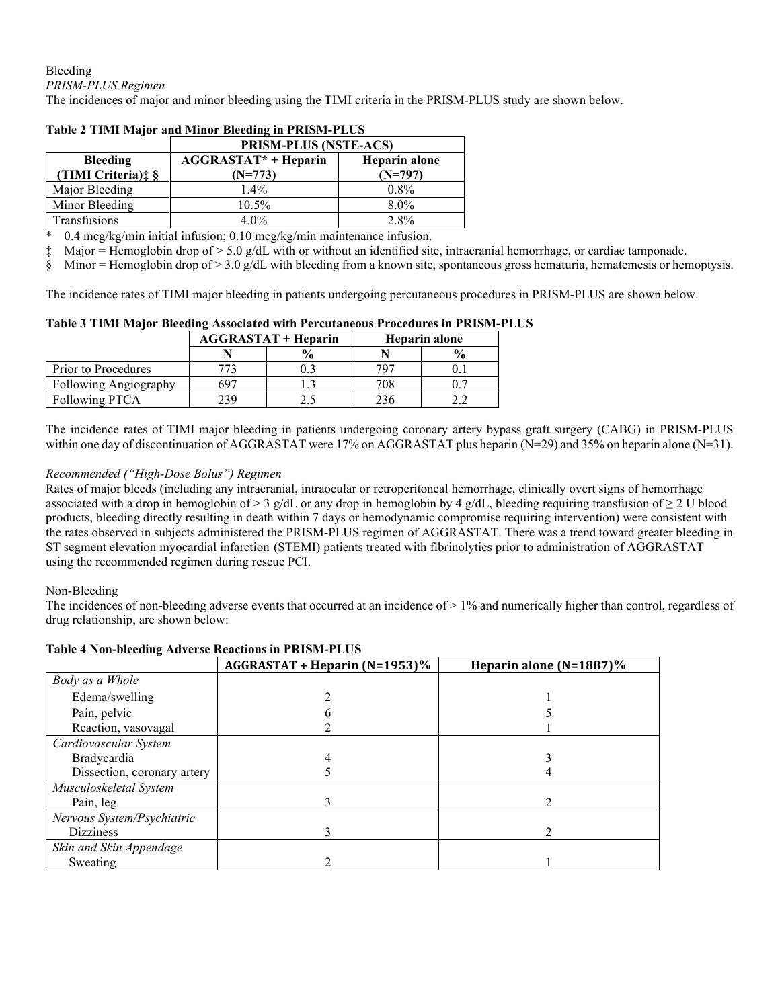Bleeding *PRISM-PLUS Regimen*

The incidences of major and minor bleeding using the TIMI criteria in the PRISM-PLUS study are shown below.

|                                                    | <b>PRISM-PLUS (NSTE-ACS)</b>             |                            |  |  |
|----------------------------------------------------|------------------------------------------|----------------------------|--|--|
| <b>Bleeding</b><br>(TIMI Criteria) $\frac{4}{3}$ § | <b>AGGRASTAT* + Heparin</b><br>$(N=773)$ | Heparin alone<br>$(N=797)$ |  |  |
| Major Bleeding                                     | $1.4\%$                                  | $0.8\%$                    |  |  |
| Minor Bleeding                                     | 10.5%                                    | $8.0\%$                    |  |  |
| <b>Transfusions</b>                                | 4.0%                                     | 2.8%                       |  |  |

## **Table 2 TIMI Major and Minor Bleeding in PRISM-PLUS**

 $0.4 \text{~mcg/kg/min}$  initial infusion;  $0.10 \text{~mcg/kg/min}$  maintenance infusion.

 $\ddagger$  Major = Hemoglobin drop of > 5.0 g/dL with or without an identified site, intracranial hemorrhage, or cardiac tamponade.

§ Minor = Hemoglobin drop of  $> 3.0$  g/dL with bleeding from a known site, spontaneous gross hematuria, hematemesis or hemoptysis.

The incidence rates of TIMI major bleeding in patients undergoing percutaneous procedures in PRISM-PLUS are shown below.

### **Table 3 TIMI Major Bleeding Associated with Percutaneous Procedures in PRISM-PLUS**

|                              | $AGGRASTAT + Heparin$ |                            | Heparin alone |               |
|------------------------------|-----------------------|----------------------------|---------------|---------------|
|                              |                       | $\mathcal{A}_{\mathbf{0}}$ |               | $\frac{0}{0}$ |
| Prior to Procedures          |                       |                            | 797           |               |
| <b>Following Angiography</b> | 697                   |                            | 708           |               |
| Following PTCA               | 239                   |                            | 236           |               |

The incidence rates of TIMI major bleeding in patients undergoing coronary artery bypass graft surgery (CABG) in PRISM-PLUS within one day of discontinuation of AGGRASTAT were 17% on AGGRASTAT plus heparin (N=29) and 35% on heparin alone (N=31).

## *Recommended ("High-Dose Bolus") Regimen*

Rates of major bleeds (including any intracranial, intraocular or retroperitoneal hemorrhage, clinically overt signs of hemorrhage associated with a drop in hemoglobin of > 3 g/dL or any drop in hemoglobin by 4 g/dL, bleeding requiring transfusion of  $\geq$  2 U blood products, bleeding directly resulting in death within 7 days or hemodynamic compromise requiring intervention) were consistent with the rates observed in subjects administered the PRISM-PLUS regimen of AGGRASTAT. There was a trend toward greater bleeding in ST segment elevation myocardial infarction (STEMI) patients treated with fibrinolytics prior to administration of AGGRASTAT using the recommended regimen during rescue PCI.

## Non-Bleeding

The incidences of non-bleeding adverse events that occurred at an incidence of > 1% and numerically higher than control, regardless of drug relationship, are shown below:

|                             | AGGRASTAT + Heparin (N=1953)% | Heparin alone $(N=1887)\%$ |
|-----------------------------|-------------------------------|----------------------------|
| Body as a Whole             |                               |                            |
| Edema/swelling              |                               |                            |
| Pain, pelvic                |                               |                            |
| Reaction, vasovagal         |                               |                            |
| Cardiovascular System       |                               |                            |
| Bradycardia                 |                               |                            |
| Dissection, coronary artery |                               |                            |
| Musculoskeletal System      |                               |                            |
| Pain, leg                   |                               |                            |
| Nervous System/Psychiatric  |                               |                            |
| <b>Dizziness</b>            |                               |                            |
| Skin and Skin Appendage     |                               |                            |
| Sweating                    |                               |                            |

# **Table 4 Non-bleeding Adverse Reactions in PRISM-PLUS**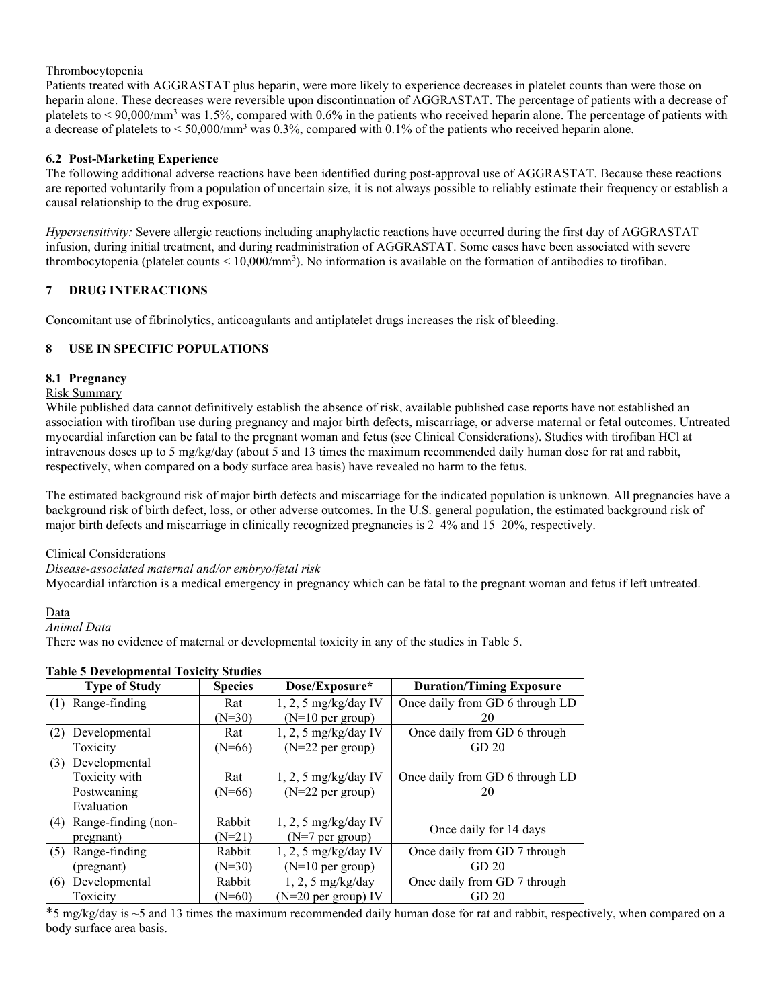## Thrombocytopenia

Patients treated with AGGRASTAT plus heparin, were more likely to experience decreases in platelet counts than were those on heparin alone. These decreases were reversible upon discontinuation of AGGRASTAT. The percentage of patients with a decrease of platelets to < 90,000/mm3 was 1.5%, compared with 0.6% in the patients who received heparin alone. The percentage of patients with a decrease of platelets to  $\leq 50,000/\text{mm}^3$  was 0.3%, compared with 0.1% of the patients who received heparin alone.

# **6.2 Post-Marketing Experience**

The following additional adverse reactions have been identified during post-approval use of AGGRASTAT. Because these reactions are reported voluntarily from a population of uncertain size, it is not always possible to reliably estimate their frequency or establish a causal relationship to the drug exposure.

*Hypersensitivity:* Severe allergic reactions including anaphylactic reactions have occurred during the first day of AGGRASTAT infusion, during initial treatment, and during readministration of AGGRASTAT. Some cases have been associated with severe thrombocytopenia (platelet counts  $\leq 10,000/\text{mm}^3$ ). No information is available on the formation of antibodies to tirofiban.

# **7 DRUG INTERACTIONS**

Concomitant use of fibrinolytics, anticoagulants and antiplatelet drugs increases the risk of bleeding.

# **8 USE IN SPECIFIC POPULATIONS**

# **8.1 Pregnancy**

## Risk Summary

While published data cannot definitively establish the absence of risk, available published case reports have not established an association with tirofiban use during pregnancy and major birth defects, miscarriage, or adverse maternal or fetal outcomes. Untreated myocardial infarction can be fatal to the pregnant woman and fetus (see Clinical Considerations). Studies with tirofiban HCl at intravenous doses up to 5 mg/kg/day (about 5 and 13 times the maximum recommended daily human dose for rat and rabbit, respectively, when compared on a body surface area basis) have revealed no harm to the fetus.

The estimated background risk of major birth defects and miscarriage for the indicated population is unknown. All pregnancies have a background risk of birth defect, loss, or other adverse outcomes. In the U.S. general population, the estimated background risk of major birth defects and miscarriage in clinically recognized pregnancies is 2–4% and 15–20%, respectively.

## Clinical Considerations

## *Disease-associated maternal and/or embryo/fetal risk*

Myocardial infarction is a medical emergency in pregnancy which can be fatal to the pregnant woman and fetus if left untreated.

# Data

## *Animal Data*

There was no evidence of maternal or developmental toxicity in any of the studies in Table 5.

|     | <b>Type of Study</b> | <b>Species</b> | Dose/Exposure*         | <b>Duration/Timing Exposure</b> |
|-----|----------------------|----------------|------------------------|---------------------------------|
| (1) | Range-finding        | Rat            | $1, 2, 5$ mg/kg/day IV | Once daily from GD 6 through LD |
|     |                      | $(N=30)$       | $(N=10$ per group)     | 20                              |
| (2) | Developmental        | Rat            | $1, 2, 5$ mg/kg/day IV | Once daily from GD 6 through    |
|     | Toxicity             | $(N=66)$       | $(N=22$ per group)     | GD <sub>20</sub>                |
| (3) | Developmental        |                |                        |                                 |
|     | Toxicity with        | Rat            | $1, 2, 5$ mg/kg/day IV | Once daily from GD 6 through LD |
|     | Postweaning          | $(N=66)$       | $(N=22$ per group)     | 20                              |
|     | Evaluation           |                |                        |                                 |
| (4) | Range-finding (non-  | Rabbit         | $1, 2, 5$ mg/kg/day IV |                                 |
|     | pregnant)            | $(N=21)$       | $(N=7$ per group)      | Once daily for 14 days          |
| (5) | Range-finding        | Rabbit         | $1, 2, 5$ mg/kg/day IV | Once daily from GD 7 through    |
|     | (pregnant)           | $(N=30)$       | $(N=10$ per group)     | GD <sub>20</sub>                |
| (6) | Developmental        | Rabbit         | $1, 2, 5$ mg/kg/day    | Once daily from GD 7 through    |
|     | Toxicity             | $(N=60)$       | $(N=20$ per group) IV  | GD <sub>20</sub>                |

# **Table 5 Developmental Toxicity Studies**

 $*5$  mg/kg/day is  $\sim$ 5 and 13 times the maximum recommended daily human dose for rat and rabbit, respectively, when compared on a body surface area basis.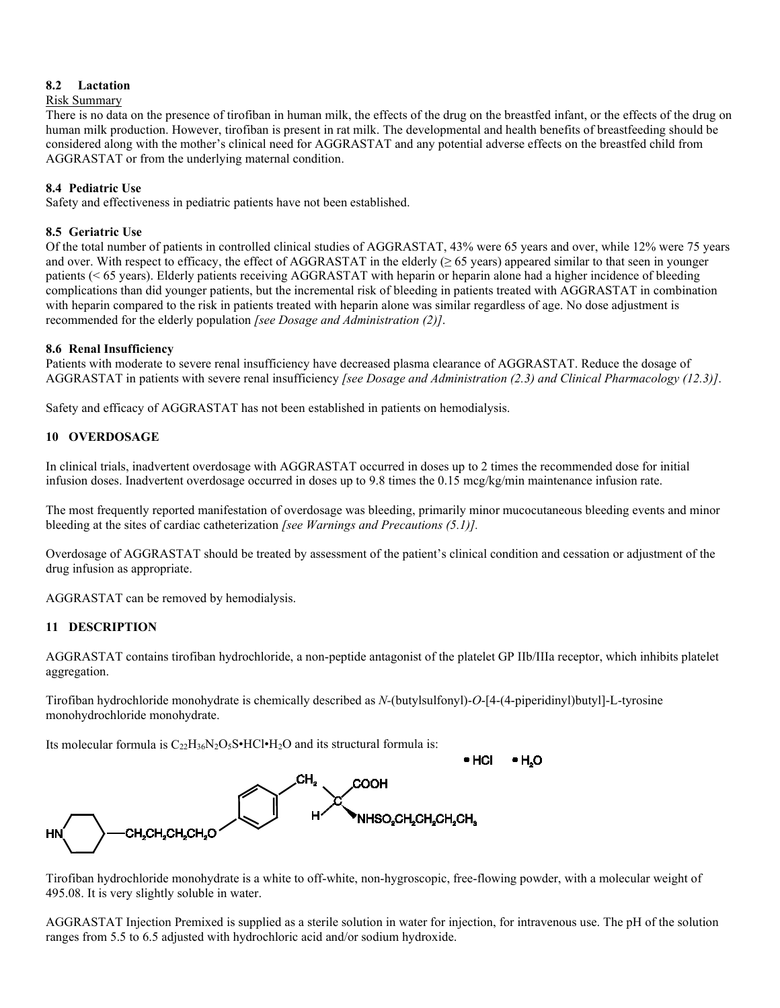## **8.2 Lactation**

### Risk Summary

There is no data on the presence of tirofiban in human milk, the effects of the drug on the breastfed infant, or the effects of the drug on human milk production. However, tirofiban is present in rat milk. The developmental and health benefits of breastfeeding should be considered along with the mother's clinical need for AGGRASTAT and any potential adverse effects on the breastfed child from AGGRASTAT or from the underlying maternal condition.

## **8.4 Pediatric Use**

Safety and effectiveness in pediatric patients have not been established.

## **8.5 Geriatric Use**

Of the total number of patients in controlled clinical studies of AGGRASTAT, 43% were 65 years and over, while 12% were 75 years and over. With respect to efficacy, the effect of AGGRASTAT in the elderly  $(≥ 65$  years) appeared similar to that seen in younger patients (< 65 years). Elderly patients receiving AGGRASTAT with heparin or heparin alone had a higher incidence of bleeding complications than did younger patients, but the incremental risk of bleeding in patients treated with AGGRASTAT in combination with heparin compared to the risk in patients treated with heparin alone was similar regardless of age. No dose adjustment is recommended for the elderly population *[see Dosage and Administration (2)]*.

## **8.6 Renal Insufficiency**

Patients with moderate to severe renal insufficiency have decreased plasma clearance of AGGRASTAT. Reduce the dosage of AGGRASTAT in patients with severe renal insufficiency *[see Dosage and Administration (2.3) and Clinical Pharmacology (12.3)]*.

Safety and efficacy of AGGRASTAT has not been established in patients on hemodialysis.

## **10 OVERDOSAGE**

In clinical trials, inadvertent overdosage with AGGRASTAT occurred in doses up to 2 times the recommended dose for initial infusion doses. Inadvertent overdosage occurred in doses up to 9.8 times the 0.15 mcg/kg/min maintenance infusion rate.

The most frequently reported manifestation of overdosage was bleeding, primarily minor mucocutaneous bleeding events and minor bleeding at the sites of cardiac catheterization *[see Warnings and Precautions (5.1)].* 

Overdosage of AGGRASTAT should be treated by assessment of the patient's clinical condition and cessation or adjustment of the drug infusion as appropriate.

AGGRASTAT can be removed by hemodialysis.

## **11 DESCRIPTION**

AGGRASTAT contains tirofiban hydrochloride, a non-peptide antagonist of the platelet GP IIb/IIIa receptor, which inhibits platelet aggregation.

Tirofiban hydrochloride monohydrate is chemically described as *N-*(butylsulfonyl)-*O*-[4-(4-piperidinyl)butyl]-L-tyrosine monohydrochloride monohydrate.

Its molecular formula is  $C_{22}H_{36}N_2O_5S \cdot HCl \cdot H_2O$  and its structural formula is:



Tirofiban hydrochloride monohydrate is a white to off-white, non-hygroscopic, free-flowing powder, with a molecular weight of 495.08. It is very slightly soluble in water.

AGGRASTAT Injection Premixed is supplied as a sterile solution in water for injection, for intravenous use. The pH of the solution ranges from 5.5 to 6.5 adjusted with hydrochloric acid and/or sodium hydroxide.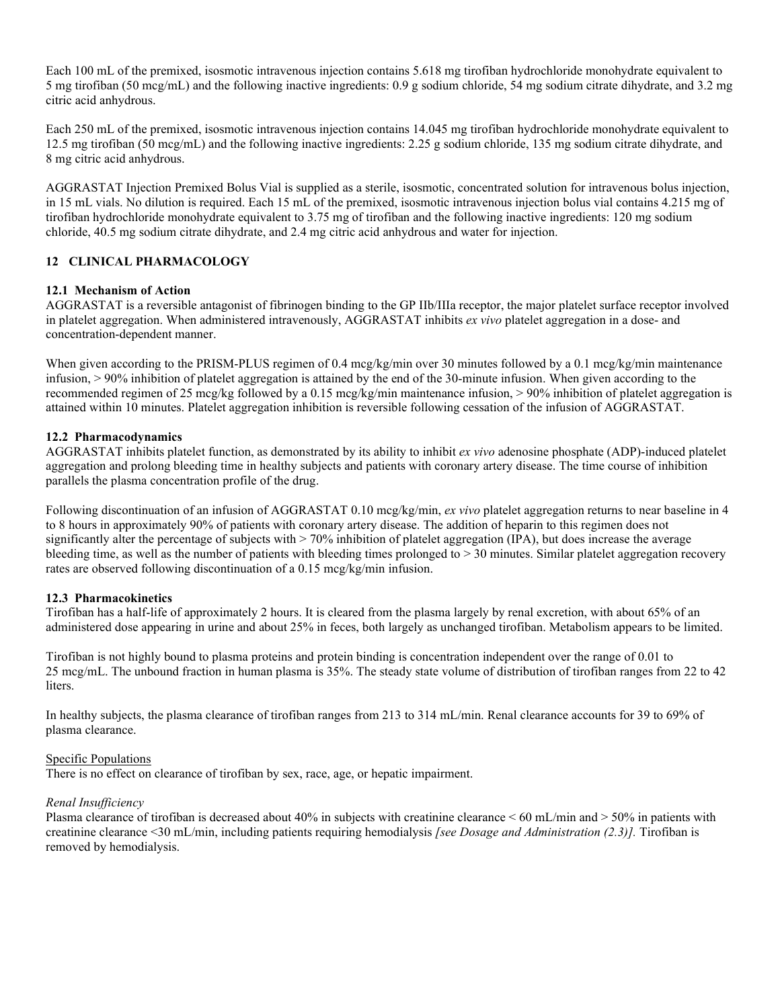Each 100 mL of the premixed, isosmotic intravenous injection contains 5.618 mg tirofiban hydrochloride monohydrate equivalent to 5 mg tirofiban (50 mcg/mL) and the following inactive ingredients: 0.9 g sodium chloride, 54 mg sodium citrate dihydrate, and 3.2 mg citric acid anhydrous.

Each 250 mL of the premixed, isosmotic intravenous injection contains 14.045 mg tirofiban hydrochloride monohydrate equivalent to 12.5 mg tirofiban (50 mcg/mL) and the following inactive ingredients: 2.25 g sodium chloride, 135 mg sodium citrate dihydrate, and 8 mg citric acid anhydrous.

AGGRASTAT Injection Premixed Bolus Vial is supplied as a sterile, isosmotic, concentrated solution for intravenous bolus injection, in 15 mL vials. No dilution is required. Each 15 mL of the premixed, isosmotic intravenous injection bolus vial contains 4.215 mg of tirofiban hydrochloride monohydrate equivalent to 3.75 mg of tirofiban and the following inactive ingredients: 120 mg sodium chloride, 40.5 mg sodium citrate dihydrate, and 2.4 mg citric acid anhydrous and water for injection.

# **12 CLINICAL PHARMACOLOGY**

# **12.1 Mechanism of Action**

AGGRASTAT is a reversible antagonist of fibrinogen binding to the GP IIb/IIIa receptor, the major platelet surface receptor involved in platelet aggregation. When administered intravenously, AGGRASTAT inhibits *ex vivo* platelet aggregation in a dose- and concentration-dependent manner.

When given according to the PRISM-PLUS regimen of 0.4 mcg/kg/min over 30 minutes followed by a 0.1 mcg/kg/min maintenance infusion, > 90% inhibition of platelet aggregation is attained by the end of the 30-minute infusion. When given according to the recommended regimen of 25 mcg/kg followed by a 0.15 mcg/kg/min maintenance infusion, > 90% inhibition of platelet aggregation is attained within 10 minutes. Platelet aggregation inhibition is reversible following cessation of the infusion of AGGRASTAT.

## **12.2 Pharmacodynamics**

AGGRASTAT inhibits platelet function, as demonstrated by its ability to inhibit *ex vivo* adenosine phosphate (ADP)-induced platelet aggregation and prolong bleeding time in healthy subjects and patients with coronary artery disease. The time course of inhibition parallels the plasma concentration profile of the drug.

Following discontinuation of an infusion of AGGRASTAT 0.10 mcg/kg/min, *ex vivo* platelet aggregation returns to near baseline in 4 to 8 hours in approximately 90% of patients with coronary artery disease. The addition of heparin to this regimen does not significantly alter the percentage of subjects with > 70% inhibition of platelet aggregation (IPA), but does increase the average bleeding time, as well as the number of patients with bleeding times prolonged to  $> 30$  minutes. Similar platelet aggregation recovery rates are observed following discontinuation of a 0.15 mcg/kg/min infusion.

# **12.3 Pharmacokinetics**

Tirofiban has a half-life of approximately 2 hours. It is cleared from the plasma largely by renal excretion, with about 65% of an administered dose appearing in urine and about 25% in feces, both largely as unchanged tirofiban. Metabolism appears to be limited.

Tirofiban is not highly bound to plasma proteins and protein binding is concentration independent over the range of 0.01 to 25 mcg/mL. The unbound fraction in human plasma is 35%. The steady state volume of distribution of tirofiban ranges from 22 to 42 liters.

In healthy subjects, the plasma clearance of tirofiban ranges from 213 to 314 mL/min. Renal clearance accounts for 39 to 69% of plasma clearance.

## Specific Populations

There is no effect on clearance of tirofiban by sex, race, age, or hepatic impairment.

## *Renal Insufficiency*

Plasma clearance of tirofiban is decreased about 40% in subjects with creatinine clearance < 60 mL/min and > 50% in patients with creatinine clearance <30 mL/min, including patients requiring hemodialysis *[see Dosage and Administration (2.3)].* Tirofiban is removed by hemodialysis.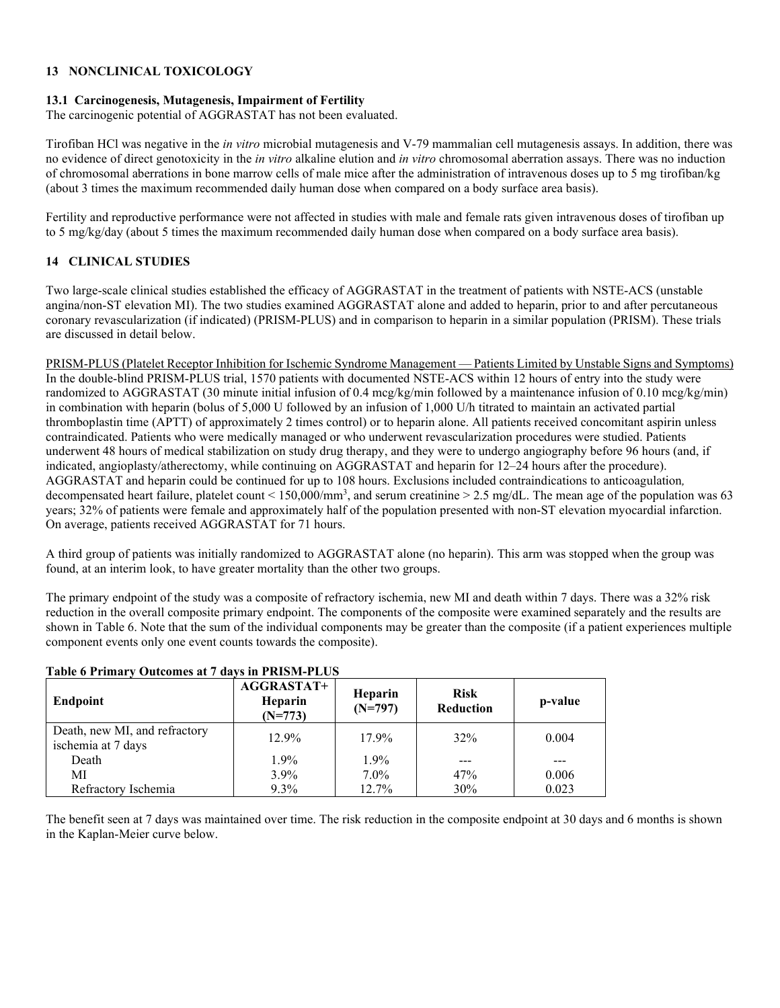## **13 NONCLINICAL TOXICOLOGY**

## **13.1 Carcinogenesis, Mutagenesis, Impairment of Fertility**

The carcinogenic potential of AGGRASTAT has not been evaluated.

Tirofiban HCl was negative in the *in vitro* microbial mutagenesis and V-79 mammalian cell mutagenesis assays. In addition, there was no evidence of direct genotoxicity in the *in vitro* alkaline elution and *in vitro* chromosomal aberration assays. There was no induction of chromosomal aberrations in bone marrow cells of male mice after the administration of intravenous doses up to 5 mg tirofiban/kg (about 3 times the maximum recommended daily human dose when compared on a body surface area basis).

Fertility and reproductive performance were not affected in studies with male and female rats given intravenous doses of tirofiban up to 5 mg/kg/day (about 5 times the maximum recommended daily human dose when compared on a body surface area basis).

# **14 CLINICAL STUDIES**

Two large-scale clinical studies established the efficacy of AGGRASTAT in the treatment of patients with NSTE-ACS (unstable angina/non-ST elevation MI). The two studies examined AGGRASTAT alone and added to heparin, prior to and after percutaneous coronary revascularization (if indicated) (PRISM-PLUS) and in comparison to heparin in a similar population (PRISM). These trials are discussed in detail below.

PRISM-PLUS (Platelet Receptor Inhibition for Ischemic Syndrome Management — Patients Limited by Unstable Signs and Symptoms) In the double-blind PRISM-PLUS trial, 1570 patients with documented NSTE-ACS within 12 hours of entry into the study were randomized to AGGRASTAT (30 minute initial infusion of 0.4 mcg/kg/min followed by a maintenance infusion of 0.10 mcg/kg/min) in combination with heparin (bolus of 5,000 U followed by an infusion of 1,000 U/h titrated to maintain an activated partial thromboplastin time (APTT) of approximately 2 times control) or to heparin alone. All patients received concomitant aspirin unless contraindicated. Patients who were medically managed or who underwent revascularization procedures were studied. Patients underwent 48 hours of medical stabilization on study drug therapy, and they were to undergo angiography before 96 hours (and, if indicated, angioplasty/atherectomy, while continuing on AGGRASTAT and heparin for 12–24 hours after the procedure). AGGRASTAT and heparin could be continued for up to 108 hours. Exclusions included contraindications to anticoagulation*,* decompensated heart failure, platelet count < 150,000/mm<sup>3</sup>, and serum creatinine > 2.5 mg/dL. The mean age of the population was 63 years; 32% of patients were female and approximately half of the population presented with non-ST elevation myocardial infarction. On average, patients received AGGRASTAT for 71 hours.

A third group of patients was initially randomized to AGGRASTAT alone (no heparin). This arm was stopped when the group was found, at an interim look, to have greater mortality than the other two groups.

The primary endpoint of the study was a composite of refractory ischemia, new MI and death within 7 days. There was a 32% risk reduction in the overall composite primary endpoint. The components of the composite were examined separately and the results are shown in Table 6. Note that the sum of the individual components may be greater than the composite (if a patient experiences multiple component events only one event counts towards the composite).

# **Table 6 Primary Outcomes at 7 days in PRISM-PLUS**

| Endpoint                                            | <b>AGGRASTAT+</b><br>Heparin<br>$(N=773)$ | <b>Heparin</b><br>$(N=797)$ | <b>Risk</b><br><b>Reduction</b> | p-value |
|-----------------------------------------------------|-------------------------------------------|-----------------------------|---------------------------------|---------|
| Death, new MI, and refractory<br>ischemia at 7 days | 12.9%                                     | 17.9%                       | 32%                             | 0.004   |
| Death                                               | $1.9\%$                                   | 1.9%                        |                                 |         |
| MI                                                  | $3.9\%$                                   | $7.0\%$                     | 47%                             | 0.006   |
| Refractory Ischemia                                 | $9.3\%$                                   | 12.7%                       | 30%                             | 0.023   |

The benefit seen at 7 days was maintained over time. The risk reduction in the composite endpoint at 30 days and 6 months is shown in the Kaplan-Meier curve below.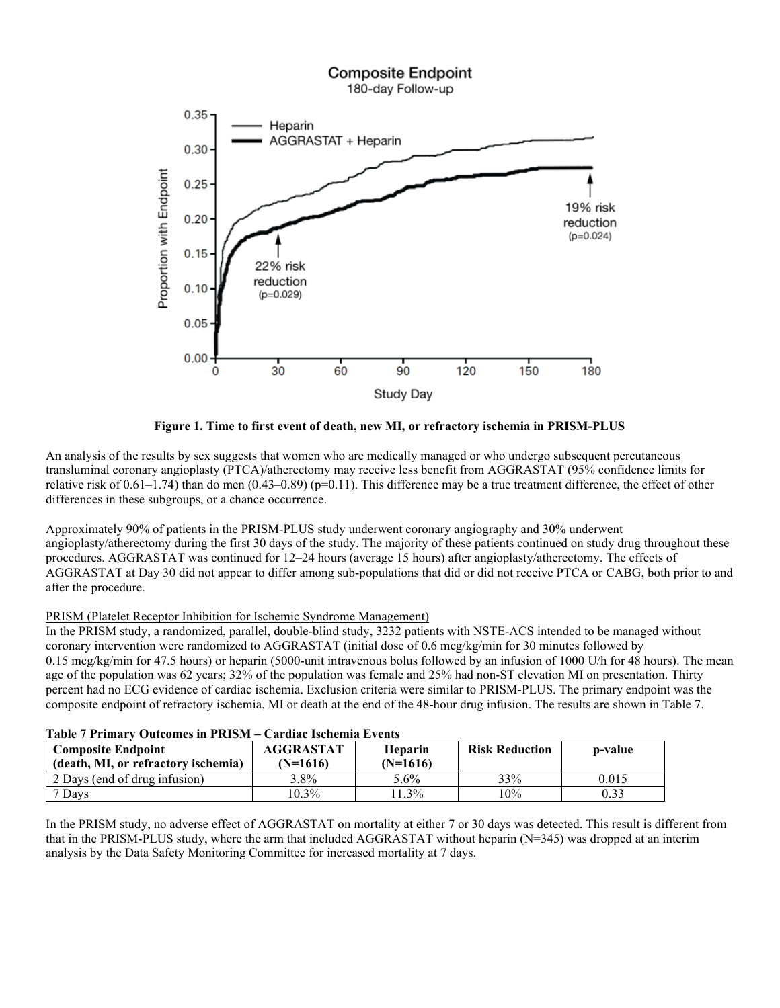

**Figure 1. Time to first event of death, new MI, or refractory ischemia in PRISM-PLUS**

An analysis of the results by sex suggests that women who are medically managed or who undergo subsequent percutaneous transluminal coronary angioplasty (PTCA)/atherectomy may receive less benefit from AGGRASTAT (95% confidence limits for relative risk of  $0.61-1.74$ ) than do men  $(0.43-0.89)$  (p=0.11). This difference may be a true treatment difference, the effect of other differences in these subgroups, or a chance occurrence.

Approximately 90% of patients in the PRISM-PLUS study underwent coronary angiography and 30% underwent angioplasty/atherectomy during the first 30 days of the study. The majority of these patients continued on study drug throughout these procedures. AGGRASTAT was continued for 12–24 hours (average 15 hours) after angioplasty/atherectomy. The effects of AGGRASTAT at Day 30 did not appear to differ among sub-populations that did or did not receive PTCA or CABG, both prior to and after the procedure.

# PRISM (Platelet Receptor Inhibition for Ischemic Syndrome Management)

In the PRISM study, a randomized, parallel, double-blind study, 3232 patients with NSTE-ACS intended to be managed without coronary intervention were randomized to AGGRASTAT (initial dose of 0.6 mcg/kg/min for 30 minutes followed by 0.15 mcg/kg/min for 47.5 hours) or heparin (5000-unit intravenous bolus followed by an infusion of 1000 U/h for 48 hours). The mean age of the population was 62 years; 32% of the population was female and 25% had non-ST elevation MI on presentation. Thirty percent had no ECG evidence of cardiac ischemia. Exclusion criteria were similar to PRISM-PLUS. The primary endpoint was the composite endpoint of refractory ischemia, MI or death at the end of the 48-hour drug infusion. The results are shown in Table 7.

## **Table 7 Primary Outcomes in PRISM – Cardiac Ischemia Events**

| <b>Composite Endpoint</b><br>(death, MI, or refractory ischemia) | <b>AGGRASTAT</b><br>(N=1616) | <b>Heparin</b><br>(N=1616) | <b>Risk Reduction</b> | p-value |
|------------------------------------------------------------------|------------------------------|----------------------------|-----------------------|---------|
| 2 Days (end of drug infusion)                                    | $3.8\%$                      | 5.6%                       | 33%                   | 0.015   |
| Davs                                                             | 10.3%                        | $.3\%$                     | 10%                   | 0.33    |

In the PRISM study, no adverse effect of AGGRASTAT on mortality at either 7 or 30 days was detected. This result is different from that in the PRISM-PLUS study, where the arm that included AGGRASTAT without heparin (N=345) was dropped at an interim analysis by the Data Safety Monitoring Committee for increased mortality at 7 days.